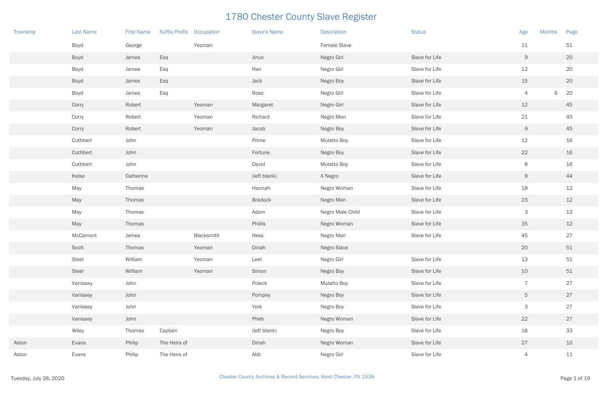| Township | <b>Last Name</b> | <b>First Name</b> | Suffix/Prefix Occupation |            | <b>Slave's Name</b> | <b>Description</b> | <b>Status</b>  | Age             | <b>Months</b> | Page |
|----------|------------------|-------------------|--------------------------|------------|---------------------|--------------------|----------------|-----------------|---------------|------|
|          | Boyd             | George            |                          | Yeoman     |                     | Female Slave       |                | 11              |               | 51   |
|          | Boyd             | James             | Esq                      |            | Jince               | Negro Girl         | Slave for Life | 9               |               | 20   |
|          | Boyd             | James             | Esq                      |            | Han                 | Negro Girl         | Slave for Life | 12              |               | 20   |
|          | Boyd             | James             | Esq                      |            | Jack                | Negro Boy          | Slave for Life | 15              |               | 20   |
|          | Boyd             | James             | Esq                      |            | Rose                | Negro Girl         | Slave for Life | 4               | 6             | 20   |
|          | Corry            | Robert            |                          | Yeoman     | Margaret            | Negro Girl         | Slave for Life | 12              |               | 45   |
|          | Corry            | Robert            |                          | Yeoman     | Richard             | Negro Man          | Slave for Life | 21              |               | 45   |
|          | Corry            | Robert            |                          | Yeoman     | Jacob               | Negro Boy          | Slave for Life | $\mathsf{9}$    |               | 45   |
|          | Cuthbert         | John              |                          |            | Prime               | <b>Mulatto Boy</b> | Slave for Life | 12              |               | 16   |
|          | Cuthbert         | John              |                          |            | Fortune             | Negro Boy          | Slave for Life | 22              |               | 16   |
|          | Cuthbert         | John              |                          |            | David               | <b>Mulatto Boy</b> | Slave for Life | 8               |               | 16   |
|          | Kelso            | Catherine         |                          |            | (left blank)        | A Negro            | Slave for Life | $\mathcal{G}$   |               | 44   |
|          | May              | Thomas            |                          |            | Hannah              | Negro Woman        | Slave for Life | 18              |               | 12   |
|          | May              | Thomas            |                          |            | <b>Bradock</b>      | Negro Man          | Slave for Life | 23              |               | 12   |
|          | May              | Thomas            |                          |            | Adam                | Negro Male Child   | Slave for Life | 3               |               | 12   |
|          | May              | Thomas            |                          |            | Phillis             | Negro Woman        | Slave for Life | 35              |               | 12   |
|          | McCamont         | James             |                          | Blacksmith | Hess                | Negro Man          | Slave for Life | 45              |               | 27   |
|          | Scott            | Thomas            |                          | Yeoman     | Dinah               | Negro Slave        |                | 20              |               | 51   |
|          | Steel            | William           |                          | Yeoman     | Leet                | Negro Girl         | Slave for Life | 13              |               | 51   |
|          | Steel            | William           |                          | Yeoman     | Simon               | Negro Boy          | Slave for Life | 10              |               | 51   |
|          | Vanlasey         | John              |                          |            | Poleck              | Mulatto Boy        | Slave for Life | $\overline{7}$  |               | 27   |
|          | Vanlasey         | John              |                          |            | Pompey              | Negro Boy          | Slave for Life | $5\phantom{.0}$ |               | 27   |
|          | Vanlasey         | John              |                          |            | York                | Negro Boy          | Slave for Life | $\mathsf{3}$    |               | 27   |
|          | Vanlasey         | John              |                          |            | Pheb                | Negro Woman        | Slave for Life | 22              |               | 27   |
|          | Wiley            | Thomas            | Captain                  |            | (left blank)        | Negro Boy          | Slave for Life | 18              |               | 33   |
| Aston    | Evans            | Philip            | The Heirs of             |            | Dinah               | Negro Woman        | Slave for Life | 27              |               | 10   |
| Aston    | Evans            | Philip            | The Heirs of             |            | Abb                 | Negro Girl         | Slave for Life | $\overline{4}$  |               | 11   |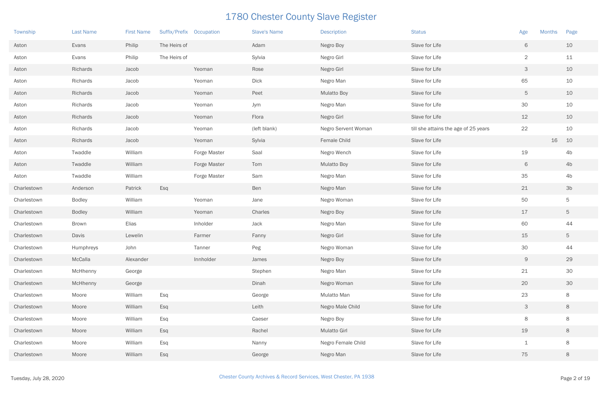| Township    | <b>Last Name</b> | <b>First Name</b> | Suffix/Prefix Occupation |              | <b>Slave's Name</b> | <b>Description</b>  | <b>Status</b>                        | <b>Months</b><br>Age | Page           |
|-------------|------------------|-------------------|--------------------------|--------------|---------------------|---------------------|--------------------------------------|----------------------|----------------|
| Aston       | Evans            | Philip            | The Heirs of             |              | Adam                | Negro Boy           | Slave for Life                       | 6                    | 10             |
| Aston       | Evans            | Philip            | The Heirs of             |              | Sylvia              | Negro Girl          | Slave for Life                       | $\sqrt{2}$           | 11             |
| Aston       | Richards         | Jacob             |                          | Yeoman       | Rose                | Negro Girl          | Slave for Life                       | $\mathcal{S}$        | 10             |
| Aston       | Richards         | Jacob             |                          | Yeoman       | <b>Dick</b>         | Negro Man           | Slave for Life                       | 65                   | 10             |
| Aston       | Richards         | Jacob             |                          | Yeoman       | Peet                | <b>Mulatto Boy</b>  | Slave for Life                       | $\overline{5}$       | 10             |
| Aston       | Richards         | Jacob             |                          | Yeoman       | Jym                 | Negro Man           | Slave for Life                       | 30                   | 10             |
| Aston       | Richards         | Jacob             |                          | Yeoman       | Flora               | Negro Girl          | Slave for Life                       | 12                   | 10             |
| Aston       | Richards         | Jacob             |                          | Yeoman       | (left blank)        | Negro Servent Woman | till she attains the age of 25 years | 22                   | 10             |
| Aston       | Richards         | Jacob             |                          | Yeoman       | Sylvia              | Female Child        | Slave for Life                       | 16                   | 10             |
| Aston       | Twaddle          | William           |                          | Forge Master | Saal                | Negro Wench         | Slave for Life                       | 19                   | 4 <sub>b</sub> |
| Aston       | Twaddle          | William           |                          | Forge Master | Tom                 | <b>Mulatto Boy</b>  | Slave for Life                       | 6                    | 4 <sub>b</sub> |
| Aston       | Twaddle          | William           |                          | Forge Master | Sam                 | Negro Man           | Slave for Life                       | 35                   | 4 <sub>b</sub> |
| Charlestown | Anderson         | Patrick           | Esq                      |              | Ben                 | Negro Man           | Slave for Life                       | 21                   | 3 <sub>b</sub> |
| Charlestown | <b>Bodley</b>    | William           |                          | Yeoman       | Jane                | Negro Woman         | Slave for Life                       | 50                   | 5              |
| Charlestown | <b>Bodley</b>    | William           |                          | Yeoman       | Charles             | Negro Boy           | Slave for Life                       | 17                   | 5              |
| Charlestown | Brown            | Elias             |                          | Inholder     | Jack                | Negro Man           | Slave for Life                       | 60                   | 44             |
| Charlestown | Davis            | Lewelin           |                          | Farmer       | Fanny               | Negro Girl          | Slave for Life                       | 15                   | 5 <sub>5</sub> |
| Charlestown | Humphreys        | John              |                          | Tanner       | Peg                 | Negro Woman         | Slave for Life                       | 30                   | 44             |
| Charlestown | McCalla          | Alexander         |                          | Innholder    | James               | Negro Boy           | Slave for Life                       | $\Theta$             | 29             |
| Charlestown | McHhenny         | George            |                          |              | Stephen             | Negro Man           | Slave for Life                       | 21                   | 30             |
| Charlestown | McHhenny         | George            |                          |              | Dinah               | Negro Woman         | Slave for Life                       | 20                   | 30             |
| Charlestown | Moore            | William           | Esq                      |              | George              | Mulatto Man         | Slave for Life                       | 23                   | $8\,$          |
| Charlestown | Moore            | William           | Esq                      |              | Leith               | Negro Male Child    | Slave for Life                       | $\mathcal{S}$        | $8\phantom{1}$ |
| Charlestown | Moore            | William           | Esq                      |              | Caeser              | Negro Boy           | Slave for Life                       | $\,8\,$              | $8\,$          |
| Charlestown | Moore            | William           | Esq                      |              | Rachel              | <b>Mulatto Girl</b> | Slave for Life                       | 19                   | $8\,$          |
| Charlestown | Moore            | William           | Esq                      |              | Nanny               | Negro Female Child  | Slave for Life                       | $\mathbf 1$          | $8\,$          |
| Charlestown | Moore            | William           | Esq                      |              | George              | Negro Man           | Slave for Life                       | 75                   | $8\,$          |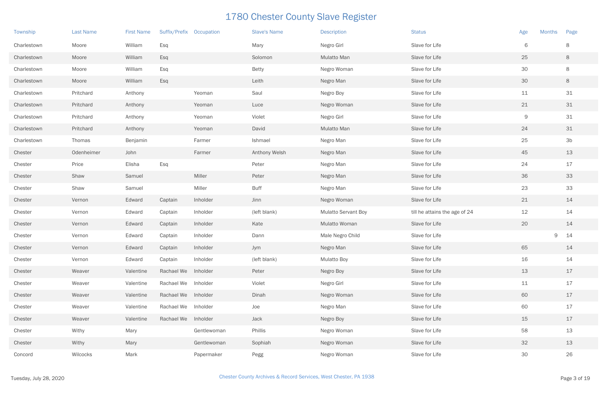| Township    | <b>Last Name</b> | <b>First Name</b> | Suffix/Prefix Occupation |             | <b>Slave's Name</b> | <b>Description</b>         | <b>Status</b>                 | <b>Months</b><br>Age | Page               |  |
|-------------|------------------|-------------------|--------------------------|-------------|---------------------|----------------------------|-------------------------------|----------------------|--------------------|--|
| Charlestown | Moore            | William           | Esq                      |             | Mary                | Negro Girl                 | Slave for Life                | 6                    | 8                  |  |
| Charlestown | Moore            | William           | Esq                      |             | Solomon             | Mulatto Man                | Slave for Life                | 25                   | 8                  |  |
| Charlestown | Moore            | William           | Esq                      |             | <b>Betty</b>        | Negro Woman                | Slave for Life                | 30                   | 8                  |  |
| Charlestown | Moore            | William           | Esq                      |             | Leith               | Negro Man                  | Slave for Life                | 30                   | 8                  |  |
| Charlestown | Pritchard        | Anthony           |                          | Yeoman      | Saul                | Negro Boy                  | Slave for Life                | 11                   | $31$               |  |
| Charlestown | Pritchard        | Anthony           |                          | Yeoman      | Luce                | Negro Woman                | Slave for Life                | 21                   | 31                 |  |
| Charlestown | Pritchard        | Anthony           |                          | Yeoman      | Violet              | Negro Girl                 | Slave for Life                | $\mathsf{9}$         | 31                 |  |
| Charlestown | Pritchard        | Anthony           |                          | Yeoman      | David               | Mulatto Man                | Slave for Life                | 24                   | 31                 |  |
| Charlestown | Thomas           | Benjamin          |                          | Farmer      | Ishmael             | Negro Man                  | Slave for Life                | 25                   | 3 <sub>b</sub>     |  |
| Chester     | Odenheimer       | John              |                          | Farmer      | Anthony Welsh       | Negro Man                  | Slave for Life                | 45                   | 13                 |  |
| Chester     | Price            | Elisha            | Esq                      |             | Peter               | Negro Man                  | Slave for Life                | 24                   | 17                 |  |
| Chester     | Shaw             | Samuel            |                          | Miller      | Peter               | Negro Man                  | Slave for Life                | 36                   | 33                 |  |
| Chester     | Shaw             | Samuel            |                          | Miller      | <b>Buff</b>         | Negro Man                  | Slave for Life                | 23                   | 33                 |  |
| Chester     | Vernon           | Edward            | Captain                  | Inholder    | Jinn                | Negro Woman                | Slave for Life                | 21                   | 14                 |  |
| Chester     | Vernon           | Edward            | Captain                  | Inholder    | (left blank)        | <b>Mulatto Servant Boy</b> | till he attains the age of 24 | 12                   | 14                 |  |
| Chester     | Vernon           | Edward            | Captain                  | Inholder    | Kate                | Mulatto Woman              | Slave for Life                | 20                   | 14                 |  |
| Chester     | Vernon           | Edward            | Captain                  | Inholder    | Dann                | Male Negro Child           | Slave for Life                |                      | $\mathsf{9}$<br>14 |  |
| Chester     | Vernon           | Edward            | Captain                  | Inholder    | Jym                 | Negro Man                  | Slave for Life                | 65                   | 14                 |  |
| Chester     | Vernon           | Edward            | Captain                  | Inholder    | (left blank)        | <b>Mulatto Boy</b>         | Slave for Life                | 16                   | 14                 |  |
| Chester     | Weaver           | Valentine         | Rachael We Inholder      |             | Peter               | Negro Boy                  | Slave for Life                | 13                   | 17                 |  |
| Chester     | Weaver           | Valentine         | Rachael We               | Inholder    | Violet              | Negro Girl                 | Slave for Life                | 11                   | 17                 |  |
| Chester     | Weaver           | Valentine         | Rachael We Inholder      |             | Dinah               | Negro Woman                | Slave for Life                | 60                   | 17                 |  |
| Chester     | Weaver           | Valentine         | Rachael We               | Inholder    | Joe                 | Negro Man                  | Slave for Life                | 60                   | 17                 |  |
| Chester     | Weaver           | Valentine         | Rachael We               | Inholder    | Jack                | Negro Boy                  | Slave for Life                | 15                   | 17                 |  |
| Chester     | Withy            | Mary              |                          | Gentlewoman | Phillis             | Negro Woman                | Slave for Life                | 58                   | 13                 |  |
| Chester     | Withy            | Mary              |                          | Gentlewoman | Sophiah             | Negro Woman                | Slave for Life                | 32                   | 13                 |  |
| Concord     | Wilcocks         | Mark              |                          | Papermaker  | Pegg                | Negro Woman                | Slave for Life                | 30                   | 26                 |  |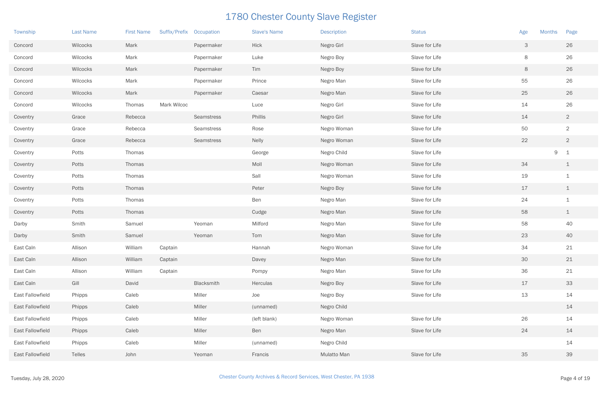| Township         | <b>Last Name</b> | <b>First Name</b> | Suffix/Prefix Occupation |            | <b>Slave's Name</b> | <b>Description</b> | <b>Status</b>  | <b>Months</b><br>Age | Page                    |
|------------------|------------------|-------------------|--------------------------|------------|---------------------|--------------------|----------------|----------------------|-------------------------|
| Concord          | Wilcocks         | Mark              |                          | Papermaker | Hick                | Negro Girl         | Slave for Life | 3                    | 26                      |
| Concord          | Wilcocks         | Mark              |                          | Papermaker | Luke                | Negro Boy          | Slave for Life | 8                    | 26                      |
| Concord          | Wilcocks         | Mark              |                          | Papermaker | Tim                 | Negro Boy          | Slave for Life | 8                    | 26                      |
| Concord          | Wilcocks         | Mark              |                          | Papermaker | Prince              | Negro Man          | Slave for Life | 55                   | 26                      |
| Concord          | Wilcocks         | Mark              |                          | Papermaker | Caesar              | Negro Man          | Slave for Life | 25                   | 26                      |
| Concord          | Wilcocks         | Thomas            | Mark Wilcoc              |            | Luce                | Negro Girl         | Slave for Life | 14                   | 26                      |
| Coventry         | Grace            | Rebecca           |                          | Seamstress | Phillis             | Negro Girl         | Slave for Life | 14                   | $\overline{2}$          |
| Coventry         | Grace            | Rebecca           |                          | Seamstress | Rose                | Negro Woman        | Slave for Life | 50                   | $\overline{2}$          |
| Coventry         | Grace            | Rebecca           |                          | Seamstress | <b>Nelly</b>        | Negro Woman        | Slave for Life | 22                   | $\overline{2}$          |
| Coventry         | Potts            | Thomas            |                          |            | George              | Negro Child        | Slave for Life | 9                    | $\overline{\mathbf{1}}$ |
| Coventry         | Potts            | Thomas            |                          |            | Moll                | Negro Woman        | Slave for Life | 34                   | $\perp$                 |
| Coventry         | Potts            | Thomas            |                          |            | Sall                | Negro Woman        | Slave for Life | 19                   | $\mathbf 1$             |
| Coventry         | Potts            | Thomas            |                          |            | Peter               | Negro Boy          | Slave for Life | 17                   | $\perp$                 |
| Coventry         | Potts            | Thomas            |                          |            | Ben                 | Negro Man          | Slave for Life | 24                   | $\mathbf 1$             |
| Coventry         | Potts            | Thomas            |                          |            | Cudge               | Negro Man          | Slave for Life | 58                   | $\perp$                 |
| Darby            | Smith            | Samuel            |                          | Yeoman     | Milford             | Negro Man          | Slave for Life | 58                   | 40                      |
| Darby            | Smith            | Samuel            |                          | Yeoman     | Tom                 | Negro Man          | Slave for Life | 23                   | 40                      |
| East Caln        | Allison          | William           | Captain                  |            | Hannah              | Negro Woman        | Slave for Life | 34                   | 21                      |
| East Caln        | Allison          | William           | Captain                  |            | Davey               | Negro Man          | Slave for Life | 30                   | 21                      |
| East Caln        | Allison          | William           | Captain                  |            | Pompy               | Negro Man          | Slave for Life | 36                   | 21                      |
| East Caln        | Gill             | David             |                          | Blacksmith | Herculas            | Negro Boy          | Slave for Life | 17                   | 33                      |
| East Fallowfield | Phipps           | Caleb             |                          | Miller     | Joe                 | Negro Boy          | Slave for Life | 13                   | 14                      |
| East Fallowfield | Phipps           | Caleb             |                          | Miller     | (unnamed)           | Negro Child        |                |                      | 14                      |
| East Fallowfield | Phipps           | Caleb             |                          | Miller     | (left blank)        | Negro Woman        | Slave for Life | 26                   | 14                      |
| East Fallowfield | Phipps           | Caleb             |                          | Miller     | Ben                 | Negro Man          | Slave for Life | 24                   | 14                      |
| East Fallowfield | Phipps           | Caleb             |                          | Miller     | (unnamed)           | Negro Child        |                |                      | 14                      |
| East Fallowfield | Telles           | John              |                          | Yeoman     | Francis             | Mulatto Man        | Slave for Life | 35                   | 39                      |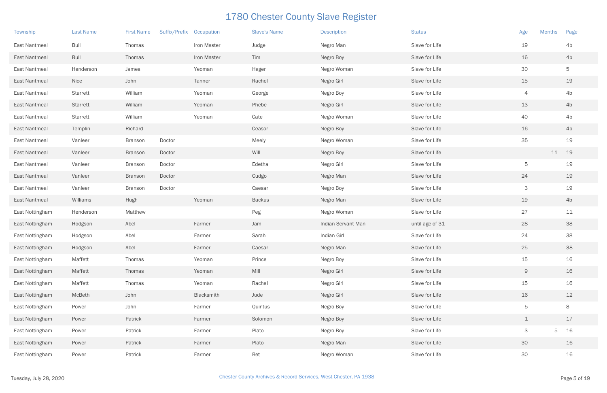| Township             | <b>Last Name</b> | <b>First Name</b> | <b>Suffix/Prefix</b> | Occupation  | <b>Slave's Name</b> | <b>Description</b> | <b>Status</b>   | Age            | <b>Months</b> | Page           |
|----------------------|------------------|-------------------|----------------------|-------------|---------------------|--------------------|-----------------|----------------|---------------|----------------|
| <b>East Nantmeal</b> | <b>Bull</b>      | Thomas            |                      | Iron Master | Judge               | Negro Man          | Slave for Life  | 19             |               | 4b             |
| East Nantmeal        | <b>Bull</b>      | Thomas            |                      | Iron Master | Tim                 | Negro Boy          | Slave for Life  | 16             |               | 4 <sub>b</sub> |
| East Nantmeal        | Henderson        | James             |                      | Yeoman      | Hager               | Negro Woman        | Slave for Life  | 30             |               | 5              |
| East Nantmeal        | Nice             | John              |                      | Tanner      | Rachel              | Negro Girl         | Slave for Life  | 15             |               | 19             |
| East Nantmeal        | Starrett         | William           |                      | Yeoman      | George              | Negro Boy          | Slave for Life  | $\overline{4}$ |               | 4b             |
| East Nantmeal        | <b>Starrett</b>  | William           |                      | Yeoman      | Phebe               | Negro Girl         | Slave for Life  | 13             |               | 4 <sub>b</sub> |
| East Nantmeal        | <b>Starrett</b>  | William           |                      | Yeoman      | Cate                | Negro Woman        | Slave for Life  | 40             |               | 4b             |
| East Nantmeal        | Templin          | Richard           |                      |             | Ceasor              | Negro Boy          | Slave for Life  | 16             |               | 4 <sub>b</sub> |
| East Nantmeal        | Vanleer          | <b>Branson</b>    | Doctor               |             | Meely               | Negro Woman        | Slave for Life  | 35             |               | 19             |
| East Nantmeal        | Vanleer          | <b>Branson</b>    | Doctor               |             | Will                | Negro Boy          | Slave for Life  |                | 11            | 19             |
| East Nantmeal        | Vanleer          | <b>Branson</b>    | Doctor               |             | Edetha              | Negro Girl         | Slave for Life  | 5              |               | 19             |
| East Nantmeal        | Vanleer          | <b>Branson</b>    | Doctor               |             | Cudgo               | Negro Man          | Slave for Life  | 24             |               | 19             |
| East Nantmeal        | Vanleer          | <b>Branson</b>    | Doctor               |             | Caesar              | Negro Boy          | Slave for Life  | 3              |               | 19             |
| East Nantmeal        | Williams         | Hugh              |                      | Yeoman      | <b>Backus</b>       | Negro Man          | Slave for Life  | 19             |               | 4 <sub>b</sub> |
| East Nottingham      | Henderson        | Matthew           |                      |             | Peg                 | Negro Woman        | Slave for Life  | 27             |               | 11             |
| East Nottingham      | Hodgson          | Abel              |                      | Farmer      | Jam                 | Indian Servant Man | until age of 31 | 28             |               | 38             |
| East Nottingham      | Hodgson          | Abel              |                      | Farmer      | Sarah               | Indian Girl        | Slave for Life  | 24             |               | 38             |
| East Nottingham      | Hodgson          | Abel              |                      | Farmer      | Caesar              | Negro Man          | Slave for Life  | 25             |               | 38             |
| East Nottingham      | Maffett          | Thomas            |                      | Yeoman      | Prince              | Negro Boy          | Slave for Life  | 15             |               | 16             |
| East Nottingham      | Maffett          | Thomas            |                      | Yeoman      | Mill                | Negro Girl         | Slave for Life  | 9              |               | 16             |
| East Nottingham      | Maffett          | Thomas            |                      | Yeoman      | Rachal              | Negro Girl         | Slave for Life  | 15             |               | 16             |
| East Nottingham      | McBeth           | John              |                      | Blacksmith  | Jude                | Negro Girl         | Slave for Life  | 16             |               | 12             |
| East Nottingham      | Power            | John              |                      | Farmer      | Quintus             | Negro Boy          | Slave for Life  | $\overline{5}$ |               | 8              |
| East Nottingham      | Power            | Patrick           |                      | Farmer      | Solomon             | Negro Boy          | Slave for Life  | $\perp$        |               | 17             |
| East Nottingham      | Power            | Patrick           |                      | Farmer      | Plato               | Negro Boy          | Slave for Life  | $\mathcal{S}$  | 5             | 16             |
| East Nottingham      | Power            | Patrick           |                      | Farmer      | Plato               | Negro Man          | Slave for Life  | 30             |               | 16             |
| East Nottingham      | Power            | Patrick           |                      | Farmer      | Bet                 | Negro Woman        | Slave for Life  | 30             |               | 16             |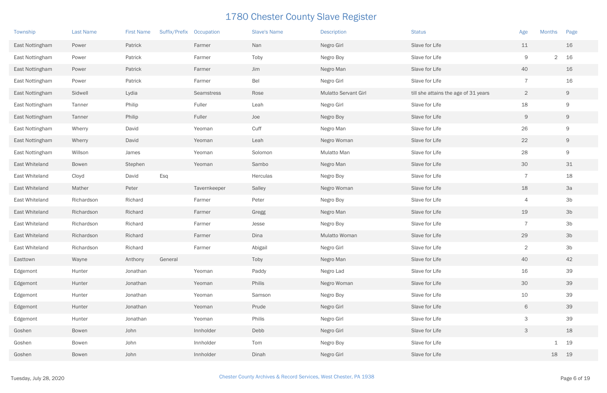| Township        | Last Name    | <b>First Name</b> | Suffix/Prefix | Occupation   | <b>Slave's Name</b> | <b>Description</b>          | <b>Status</b>                        | Age                       | <b>Months</b> | Page           |
|-----------------|--------------|-------------------|---------------|--------------|---------------------|-----------------------------|--------------------------------------|---------------------------|---------------|----------------|
| East Nottingham | Power        | Patrick           |               | Farmer       | Nan                 | Negro Girl                  | Slave for Life                       | 11                        |               | 16             |
| East Nottingham | Power        | Patrick           |               | Farmer       | Toby                | Negro Boy                   | Slave for Life                       | $\mathsf{9}$              | $2 16$        |                |
| East Nottingham | Power        | Patrick           |               | Farmer       | Jim                 | Negro Man                   | Slave for Life                       | 40                        |               | 16             |
| East Nottingham | Power        | Patrick           |               | Farmer       | Bel                 | Negro Girl                  | Slave for Life                       | $\overline{7}$            |               | 16             |
| East Nottingham | Sidwell      | Lydia             |               | Seamstress   | Rose                | <b>Mulatto Servant Girl</b> | till she attains the age of 31 years | $\overline{2}$            |               | 9              |
| East Nottingham | Tanner       | Philip            |               | Fuller       | Leah                | Negro Girl                  | Slave for Life                       | 18                        |               | 9              |
| East Nottingham | Tanner       | Philip            |               | Fuller       | Joe                 | Negro Boy                   | Slave for Life                       | $\Theta$                  |               | 9              |
| East Nottingham | Wherry       | David             |               | Yeoman       | Cuff                | Negro Man                   | Slave for Life                       | 26                        |               | 9              |
| East Nottingham | Wherry       | David             |               | Yeoman       | Leah                | Negro Woman                 | Slave for Life                       | 22                        |               | 9              |
| East Nottingham | Willson      | James             |               | Yeoman       | Solomon             | Mulatto Man                 | Slave for Life                       | 28                        |               | 9              |
| East Whiteland  | Bowen        | Stephen           |               | Yeoman       | Sambo               | Negro Man                   | Slave for Life                       | 30                        |               | 31             |
| East Whiteland  | Cloyd        | David             | Esq           |              | Herculas            | Negro Boy                   | Slave for Life                       | $\overline{7}$            |               | 18             |
| East Whiteland  | Mather       | Peter             |               | Tavernkeeper | Salley              | Negro Woman                 | Slave for Life                       | 18                        |               | 3a             |
| East Whiteland  | Richardson   | Richard           |               | Farmer       | Peter               | Negro Boy                   | Slave for Life                       | 4                         |               | 3 <sub>b</sub> |
| East Whiteland  | Richardson   | Richard           |               | Farmer       | Gregg               | Negro Man                   | Slave for Life                       | 19                        |               | 3 <sub>b</sub> |
| East Whiteland  | Richardson   | Richard           |               | Farmer       | Jesse               | Negro Boy                   | Slave for Life                       | $\overline{7}$            |               | 3 <sub>b</sub> |
| East Whiteland  | Richardson   | Richard           |               | Farmer       | Dina                | Mulatto Woman               | Slave for Life                       | 29                        |               | 3 <sub>b</sub> |
| East Whiteland  | Richardson   | Richard           |               | Farmer       | Abigail             | Negro Girl                  | Slave for Life                       | $\overline{2}$            |               | 3 <sub>b</sub> |
| Easttown        | Wayne        | Anthony           | General       |              | Toby                | Negro Man                   | Slave for Life                       | 40                        |               | 42             |
| Edgemont        | Hunter       | Jonathan          |               | Yeoman       | Paddy               | Negro Lad                   | Slave for Life                       | 16                        |               | 39             |
| Edgemont        | Hunter       | Jonathan          |               | Yeoman       | Philis              | Negro Woman                 | Slave for Life                       | 30                        |               | 39             |
| Edgemont        | Hunter       | Jonathan          |               | Yeoman       | Samson              | Negro Boy                   | Slave for Life                       | $10$                      |               | 39             |
| Edgemont        | Hunter       | Jonathan          |               | Yeoman       | Prude               | Negro Girl                  | Slave for Life                       | 6                         |               | 39             |
| Edgemont        | Hunter       | Jonathan          |               | Yeoman       | Philis              | Negro Girl                  | Slave for Life                       | $\ensuremath{\mathsf{3}}$ |               | 39             |
| Goshen          | <b>Bowen</b> | John              |               | Innholder    | Debb                | Negro Girl                  | Slave for Life                       | $\ensuremath{\mathsf{3}}$ |               | 18             |
| Goshen          | Bowen        | John              |               | Innholder    | Tom                 | Negro Boy                   | Slave for Life                       |                           | $\mathbf 1$   | 19             |
| Goshen          | Bowen        | John              |               | Innholder    | Dinah               | Negro Girl                  | Slave for Life                       |                           | 18            | 19             |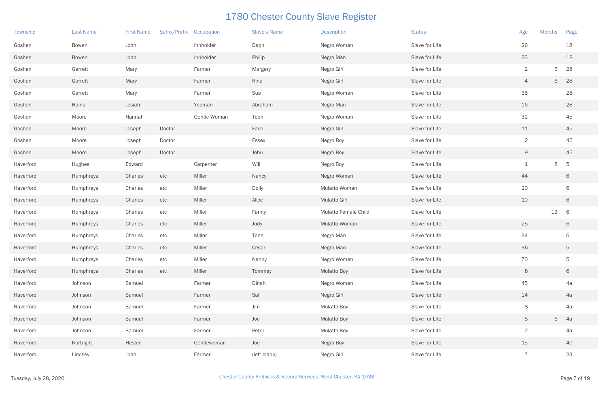| Township  | <b>Last Name</b> | <b>First Name</b> | Suffix/Prefix Occupation |              | <b>Slave's Name</b> | <b>Description</b>   | <b>Status</b>  | Age            | <b>Months</b> | Page |
|-----------|------------------|-------------------|--------------------------|--------------|---------------------|----------------------|----------------|----------------|---------------|------|
| Goshen    | Bowen            | John              |                          | Innholder    | Daph                | Negro Woman          | Slave for Life | 26             |               | 18   |
| Goshen    | <b>Bowen</b>     | John              |                          | Innholder    | Philip              | Negro Man            | Slave for Life | 33             |               | 18   |
| Goshen    | Garrett          | Mary              |                          | Farmer       | Margery             | Negro Girl           | Slave for Life | $\overline{2}$ | 6             | 28   |
| Goshen    | Garrett          | Mary              |                          | Farmer       | Rina                | Negro Girl           | Slave for Life | 4              | 6             | 28   |
| Goshen    | Garrett          | Mary              |                          | Farmer       | Sue                 | Negro Woman          | Slave for Life | 35             |               | 28   |
| Goshen    | Hains            | Josiah            |                          | Yeoman       | Abraham             | Negro Man            | Slave for Life | 16             |               | 28   |
| Goshen    | Moore            | Hannah            |                          | Gentle Woman | Teen                | Negro Woman          | Slave for Life | 32             |               | 45   |
| Goshen    | Moore            | Joseph            | Doctor                   |              | Face                | Negro Girl           | Slave for Life | 11             |               | 45   |
| Goshen    | Moore            | Joseph            | Doctor                   |              | Essex               | Negro Boy            | Slave for Life | $\overline{2}$ |               | 45   |
| Goshen    | Moore            | Joseph            | Doctor                   |              | Jehu                | Negro Boy            | Slave for Life | 9              |               | 45   |
| Haverford | Hughes           | Edward            |                          | Carpenter    | Will                | Negro Boy            | Slave for Life | $\mathbf 1$    | 8             | 5    |
| Haverford | Humphreys        | Charles           | etc                      | Miller       | Nancy               | Negro Woman          | Slave for Life | 44             |               | 6    |
| Haverford | Humphreys        | Charles           | etc                      | Miller       | Dolly               | Mulatto Woman        | Slave for Life | 20             |               | 6    |
| Haverford | Humphreys        | Charles           | etc                      | Miller       | Alice               | <b>Mulatto Girl</b>  | Slave for Life | 10             |               | 6    |
| Haverford | Humphreys        | Charles           | etc                      | Miller       | Fanny               | Mulatto Female Child | Slave for Life |                | 13            | 6    |
| Haverford | Humphreys        | Charles           | etc                      | Miller       | Judy                | Mulatto Woman        | Slave for Life | 25             |               | 6    |
| Haverford | Humphreys        | Charles           | etc                      | Miller       | Tone                | Negro Man            | Slave for Life | 34             |               | 6    |
| Haverford | Humphreys        | Charles           | etc                      | Miller       | Cesar               | Negro Man            | Slave for Life | 36             |               | 5    |
| Haverford | Humphreys        | Charles           | etc                      | Miller       | Nanny               | Negro Woman          | Slave for Life | 70             |               | 5    |
| Haverford | Humphreys        | Charles           | etc                      | Miller       | Tommey              | <b>Mulatto Boy</b>   | Slave for Life | 8              |               | 6    |
| Haverford | Johnson          | Samuel            |                          | Farmer       | Dinah               | Negro Woman          | Slave for Life | 45             |               | 4a   |
| Haverford | Johnson          | Samuel            |                          | Farmer       | Sall                | Negro Girl           | Slave for Life | 14             |               | 4a   |
| Haverford | Johnson          | Samuel            |                          | Farmer       | Jim                 | <b>Mulatto Boy</b>   | Slave for Life | 8              |               | 4a   |
| Haverford | Johnson          | Samuel            |                          | Farmer       | Joe                 | <b>Mulatto Boy</b>   | Slave for Life | 5              | 6 4a          |      |
| Haverford | Johnson          | Samuel            |                          | Farmer       | Peter               | <b>Mulatto Boy</b>   | Slave for Life | $\overline{2}$ |               | 4a   |
| Haverford | Kortright        | Hester            |                          | Gentlewoman  | Joe                 | Negro Boy            | Slave for Life | 15             |               | 40   |
| Haverford | Lindsey          | John              |                          | Farmer       | (left blank)        | Negro Girl           | Slave for Life | $\overline{7}$ |               | 23   |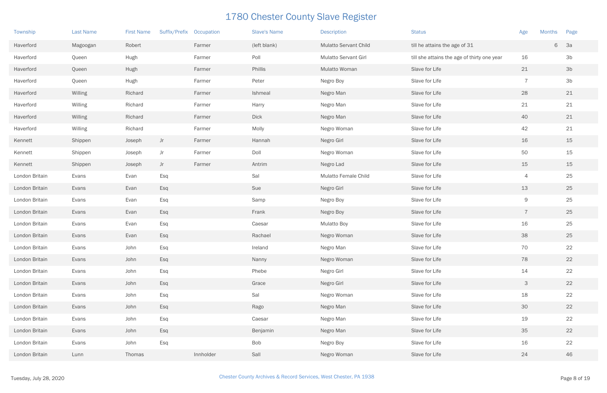| Township       | <b>Last Name</b> | <b>First Name</b> | Suffix/Prefix Occupation |           | <b>Slave's Name</b> | <b>Description</b>           | <b>Status</b>                               | Age            | <b>Months</b> | Page           |
|----------------|------------------|-------------------|--------------------------|-----------|---------------------|------------------------------|---------------------------------------------|----------------|---------------|----------------|
| Haverford      | Magoogan         | Robert            |                          | Farmer    | (left blank)        | <b>Mulatto Servant Child</b> | till he attains the age of 31               |                | 6             | 3a             |
| Haverford      | Queen            | Hugh              |                          | Farmer    | Poll                | Mulatto Servant Girl         | till she attains the age of thirty one year | 16             |               | 3 <sub>b</sub> |
| Haverford      | Queen            | Hugh              |                          | Farmer    | Phillis             | Mulatto Woman                | Slave for Life                              | 21             |               | 3 <sub>b</sub> |
| Haverford      | Queen            | Hugh              |                          | Farmer    | Peter               | Negro Boy                    | Slave for Life                              | $\overline{7}$ |               | 3 <sub>b</sub> |
| Haverford      | Willing          | Richard           |                          | Farmer    | Ishmeal             | Negro Man                    | Slave for Life                              | 28             |               | 21             |
| Haverford      | Willing          | Richard           |                          | Farmer    | Harry               | Negro Man                    | Slave for Life                              | 21             |               | 21             |
| Haverford      | Willing          | Richard           |                          | Farmer    | <b>Dick</b>         | Negro Man                    | Slave for Life                              | 40             |               | 21             |
| Haverford      | Willing          | Richard           |                          | Farmer    | Molly               | Negro Woman                  | Slave for Life                              | 42             |               | 21             |
| Kennett        | Shippen          | Joseph            | Jr                       | Farmer    | Hannah              | Negro Girl                   | Slave for Life                              | 16             |               | 15             |
| Kennett        | Shippen          | Joseph            | Jr                       | Farmer    | Doll                | Negro Woman                  | Slave for Life                              | 50             |               | 15             |
| Kennett        | Shippen          | Joseph            | Jr                       | Farmer    | Antrim              | Negro Lad                    | Slave for Life                              | 15             |               | 15             |
| London Britain | Evans            | Evan              | Esq                      |           | Sal                 | Mulatto Female Child         | Slave for Life                              | 4              |               | 25             |
| London Britain | Evans            | Evan              | Esq                      |           | Sue                 | Negro Girl                   | Slave for Life                              | 13             |               | 25             |
| London Britain | Evans            | Evan              | Esq                      |           | Samp                | Negro Boy                    | Slave for Life                              | $\mathsf 9$    |               | 25             |
| London Britain | Evans            | Evan              | Esq                      |           | Frank               | Negro Boy                    | Slave for Life                              | $\overline{7}$ |               | 25             |
| London Britain | Evans            | Evan              | Esq                      |           | Caesar              | <b>Mulatto Boy</b>           | Slave for Life                              | 16             |               | 25             |
| London Britain | Evans            | Evan              | Esq                      |           | Rachael             | Negro Woman                  | Slave for Life                              | 38             |               | 25             |
| London Britain | Evans            | John              | Esq                      |           | Ireland             | Negro Man                    | Slave for Life                              | 70             |               | 22             |
| London Britain | Evans            | John              | Esq                      |           | Nanny               | Negro Woman                  | Slave for Life                              | 78             |               | 22             |
| London Britain | Evans            | John              | Esq                      |           | Phebe               | Negro Girl                   | Slave for Life                              | 14             |               | 22             |
| London Britain | Evans            | John              | Esq                      |           | Grace               | Negro Girl                   | Slave for Life                              | $\mathcal{S}$  |               | 22             |
| London Britain | Evans            | John              | Esq                      |           | Sal                 | Negro Woman                  | Slave for Life                              | 18             |               | 22             |
| London Britain | Evans            | John              | Esq                      |           | Rago                | Negro Man                    | Slave for Life                              | 30             |               | 22             |
| London Britain | Evans            | John              | Esq                      |           | Caesar              | Negro Man                    | Slave for Life                              | 19             |               | 22             |
| London Britain | Evans            | John              | Esq                      |           | Benjamin            | Negro Man                    | Slave for Life                              | 35             |               | 22             |
| London Britain | Evans            | John              | Esq                      |           | Bob                 | Negro Boy                    | Slave for Life                              | 16             |               | 22             |
| London Britain | Lunn             | Thomas            |                          | Innholder | Sall                | Negro Woman                  | Slave for Life                              | 24             |               | 46             |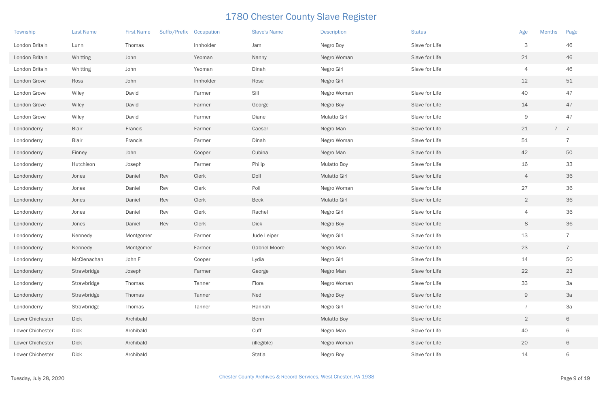| Township         | <b>Last Name</b> | <b>First Name</b> | Suffix/Prefix | Occupation | <b>Slave's Name</b>  | <b>Description</b>  | <b>Status</b>  | <b>Months</b><br>Age | Page           |
|------------------|------------------|-------------------|---------------|------------|----------------------|---------------------|----------------|----------------------|----------------|
| London Britain   | Lunn             | Thomas            |               | Innholder  | Jam                  | Negro Boy           | Slave for Life | $\mathsf{3}$         | 46             |
| London Britain   | Whitting         | John              |               | Yeoman     | Nanny                | Negro Woman         | Slave for Life | 21                   | 46             |
| London Britain   | Whitting         | John              |               | Yeoman     | Dinah                | Negro Girl          | Slave for Life | 4                    | 46             |
| London Grove     | Ross             | John              |               | Innholder  | Rose                 | Negro Girl          |                | 12                   | 51             |
| London Grove     | Wiley            | David             |               | Farmer     | Sill                 | Negro Woman         | Slave for Life | 40                   | 47             |
| London Grove     | Wiley            | David             |               | Farmer     | George               | Negro Boy           | Slave for Life | 14                   | 47             |
| London Grove     | Wiley            | David             |               | Farmer     | Diane                | Mulatto Girl        | Slave for Life | $\Theta$             | 47             |
| Londonderry      | <b>Blair</b>     | Francis           |               | Farmer     | Caeser               | Negro Man           | Slave for Life | 21                   | 7 <sub>7</sub> |
| Londonderry      | <b>Blair</b>     | Francis           |               | Farmer     | Dinah                | Negro Woman         | Slave for Life | 51                   | $\overline{7}$ |
| Londonderry      | Finney           | John              |               | Cooper     | Cubina               | Negro Man           | Slave for Life | 42                   | 50             |
| Londonderry      | Hutchison        | Joseph            |               | Farmer     | Philip               | <b>Mulatto Boy</b>  | Slave for Life | 16                   | 33             |
| Londonderry      | Jones            | Daniel            | Rev           | Clerk      | Doll                 | <b>Mulatto Girl</b> | Slave for Life | $\overline{4}$       | 36             |
| Londonderry      | Jones            | Daniel            | Rev           | Clerk      | Poll                 | Negro Woman         | Slave for Life | 27                   | 36             |
| Londonderry      | Jones            | Daniel            | Rev           | Clerk      | <b>Beck</b>          | <b>Mulatto Girl</b> | Slave for Life | $\overline{2}$       | 36             |
| Londonderry      | Jones            | Daniel            | Rev           | Clerk      | Rachel               | Negro Girl          | Slave for Life | $\overline{4}$       | 36             |
| Londonderry      | Jones            | Daniel            | Rev           | Clerk      | <b>Dick</b>          | Negro Boy           | Slave for Life | 8                    | 36             |
| Londonderry      | Kennedy          | Montgomer         |               | Farmer     | Jude Leiper          | Negro Girl          | Slave for Life | 13                   | $\overline{7}$ |
| Londonderry      | Kennedy          | Montgomer         |               | Farmer     | <b>Gabriel Moore</b> | Negro Man           | Slave for Life | 23                   |                |
| Londonderry      | McClenachan      | John F            |               | Cooper     | Lydia                | Negro Girl          | Slave for Life | 14                   | 50             |
| Londonderry      | Strawbridge      | Joseph            |               | Farmer     | George               | Negro Man           | Slave for Life | 22                   | 23             |
| Londonderry      | Strawbridge      | Thomas            |               | Tanner     | Flora                | Negro Woman         | Slave for Life | 33                   | 3a             |
| Londonderry      | Strawbridge      | Thomas            |               | Tanner     | Ned                  | Negro Boy           | Slave for Life | 9                    | 3a             |
| Londonderry      | Strawbridge      | Thomas            |               | Tanner     | Hannah               | Negro Girl          | Slave for Life | $\overline{7}$       | 3a             |
| Lower Chichester | <b>Dick</b>      | Archibald         |               |            | Benn                 | <b>Mulatto Boy</b>  | Slave for Life | $\overline{2}$       | 6              |
| Lower Chichester | <b>Dick</b>      | Archibald         |               |            | Cuff                 | Negro Man           | Slave for Life | 40                   | 6              |
| Lower Chichester | <b>Dick</b>      | Archibald         |               |            | (illegible)          | Negro Woman         | Slave for Life | 20                   | 6              |
| Lower Chichester | <b>Dick</b>      | Archibald         |               |            | Statia               | Negro Boy           | Slave for Life | 14                   | 6              |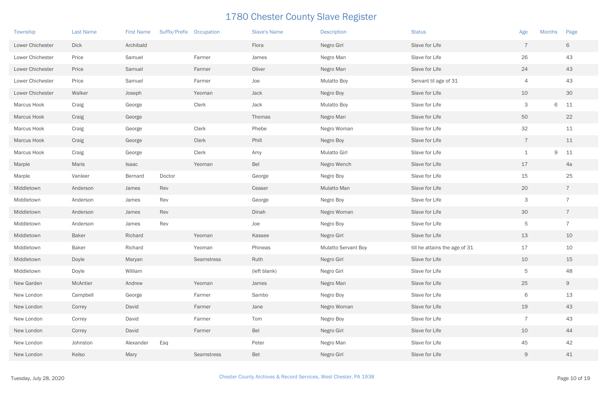| Township         | <b>Last Name</b> | <b>First Name</b> | Suffix/Prefix Occupation |            | <b>Slave's Name</b> | <b>Description</b>         | <b>Status</b>                 | Age                       | <b>Months</b> | Page           |
|------------------|------------------|-------------------|--------------------------|------------|---------------------|----------------------------|-------------------------------|---------------------------|---------------|----------------|
| Lower Chichester | <b>Dick</b>      | Archibald         |                          |            | Flora               | Negro Girl                 | Slave for Life                | $\overline{7}$            |               | 6              |
| Lower Chichester | Price            | Samuel            |                          | Farmer     | James               | Negro Man                  | Slave for Life                | 26                        |               | 43             |
| Lower Chichester | Price            | Samuel            |                          | Farmer     | Oliver              | Negro Man                  | Slave for Life                | 24                        |               | 43             |
| Lower Chichester | Price            | Samuel            |                          | Farmer     | Joe                 | <b>Mulatto Boy</b>         | Servant til age of 31         | 4                         |               | 43             |
| Lower Chichester | Walker           | Joseph            |                          | Yeoman     | Jack                | Negro Boy                  | Slave for Life                | 10                        |               | 30             |
| Marcus Hook      | Craig            | George            |                          | Clerk      | Jack                | <b>Mulatto Boy</b>         | Slave for Life                | $\mathcal{S}$             | 6             | 11             |
| Marcus Hook      | Craig            | George            |                          |            | Thomas              | Negro Man                  | Slave for Life                | 50                        |               | 22             |
| Marcus Hook      | Craig            | George            |                          | Clerk      | Phebe               | Negro Woman                | Slave for Life                | 32                        |               | 11             |
| Marcus Hook      | Craig            | George            |                          | Clerk      | Phill               | Negro Boy                  | Slave for Life                | $\overline{7}$            |               | 11             |
| Marcus Hook      | Craig            | George            |                          | Clerk      | Amy                 | Mulatto Girl               | Slave for Life                | $\mathbf 1$               | 9             | 11             |
| Marple           | Maris            | <b>Isaac</b>      |                          | Yeoman     | Bel                 | Negro Wench                | Slave for Life                | 17                        |               | 4a             |
| Marple           | Vanleer          | Bernard           | Doctor                   |            | George              | Negro Boy                  | Slave for Life                | 15                        |               | 25             |
| Middletown       | Anderson         | James             | Rev                      |            | Ceaser              | Mulatto Man                | Slave for Life                | 20                        |               | $\overline{7}$ |
| Middletown       | Anderson         | James             | Rev                      |            | George              | Negro Boy                  | Slave for Life                | $\ensuremath{\mathsf{3}}$ |               | $\overline{7}$ |
| Middletown       | Anderson         | James             | Rev                      |            | Dinah               | Negro Woman                | Slave for Life                | 30                        |               | $\overline{7}$ |
| Middletown       | Anderson         | James             | Rev                      |            | Joe                 | Negro Boy                  | Slave for Life                | $\mathbf 5$               |               | $\overline{7}$ |
| Middletown       | <b>Baker</b>     | Richard           |                          | Yeoman     | Kassee              | Negro Girl                 | Slave for Life                | 13                        |               | 10             |
| Middletown       | <b>Baker</b>     | Richard           |                          | Yeoman     | Phineas             | <b>Mulatto Servant Boy</b> | till he attains the age of 31 | 17                        |               | 10             |
| Middletown       | Doyle            | Maryan            |                          | Seamstress | Ruth                | Negro Girl                 | Slave for Life                | 10                        |               | 15             |
| Middletown       | Doyle            | William           |                          |            | (left blank)        | Negro Girl                 | Slave for Life                | $\overline{5}$            |               | 48             |
| New Garden       | McAntier         | Andrew            |                          | Yeoman     | James               | Negro Man                  | Slave for Life                | 25                        |               | 9              |
| New London       | Campbell         | George            |                          | Farmer     | Sambo               | Negro Boy                  | Slave for Life                | 6                         |               | 13             |
| New London       | Correy           | David             |                          | Farmer     | Jane                | Negro Woman                | Slave for Life                | 19                        |               | 43             |
| New London       | Correy           | David             |                          | Farmer     | Tom                 | Negro Boy                  | Slave for Life                | $\overline{7}$            |               | 43             |
| New London       | Correy           | David             |                          | Farmer     | Bel                 | Negro Girl                 | Slave for Life                | 10                        |               | 44             |
| New London       | Johnston         | Alexander         | Esq                      |            | Peter               | Negro Man                  | Slave for Life                | 45                        |               | 42             |
| New London       | Kelso            | Mary              |                          | Seamstress | Bet                 | Negro Girl                 | Slave for Life                | $\Theta$                  |               | 41             |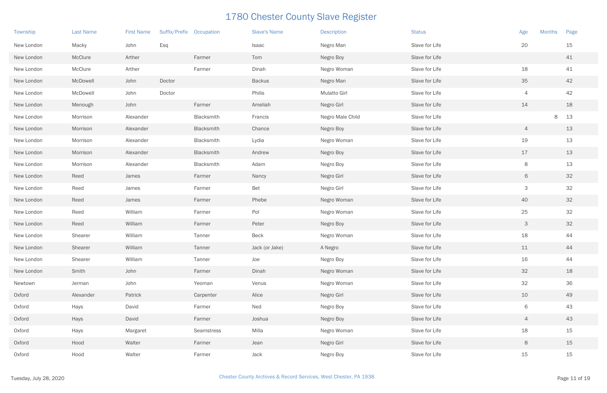| Township   | <b>Last Name</b> | <b>First Name</b> | Suffix/Prefix Occupation |            | <b>Slave's Name</b> | <b>Description</b>  | <b>Status</b>  | Age                       | <b>Months</b> | Page |
|------------|------------------|-------------------|--------------------------|------------|---------------------|---------------------|----------------|---------------------------|---------------|------|
| New London | Macky            | John              | Esq                      |            | <b>Isaac</b>        | Negro Man           | Slave for Life | 20                        |               | 15   |
| New London | McClure          | Arther            |                          | Farmer     | Tom                 | Negro Boy           | Slave for Life |                           |               | 41   |
| New London | McClure          | Arther            |                          | Farmer     | Dinah               | Negro Woman         | Slave for Life | 18                        |               | 41   |
| New London | McDowell         | John              | Doctor                   |            | <b>Backus</b>       | Negro Man           | Slave for Life | 35                        |               | 42   |
| New London | McDowell         | John              | Doctor                   |            | Philis              | <b>Mulatto Girl</b> | Slave for Life | $\overline{4}$            |               | 42   |
| New London | Menough          | John              |                          | Farmer     | Ameliah             | Negro Girl          | Slave for Life | 14                        |               | 18   |
| New London | Morrison         | Alexander         |                          | Blacksmith | Francis             | Negro Male Child    | Slave for Life |                           | 8             | 13   |
| New London | Morrison         | Alexander         |                          | Blacksmith | Chance              | Negro Boy           | Slave for Life | 4                         |               | 13   |
| New London | Morrison         | Alexander         |                          | Blacksmith | Lydia               | Negro Woman         | Slave for Life | 19                        |               | 13   |
| New London | Morrison         | Alexander         |                          | Blacksmith | Andrew              | Negro Boy           | Slave for Life | 17                        |               | 13   |
| New London | Morrison         | Alexander         |                          | Blacksmith | Adam                | Negro Boy           | Slave for Life | 8                         |               | 13   |
| New London | Reed             | James             |                          | Farmer     | Nancy               | Negro Girl          | Slave for Life | 6                         |               | 32   |
| New London | Reed             | James             |                          | Farmer     | Bet                 | Negro Girl          | Slave for Life | $\ensuremath{\mathsf{3}}$ |               | 32   |
| New London | Reed             | James             |                          | Farmer     | Phebe               | Negro Woman         | Slave for Life | 40                        |               | 32   |
| New London | Reed             | William           |                          | Farmer     | Pol                 | Negro Woman         | Slave for Life | 25                        |               | 32   |
| New London | Reed             | William           |                          | Farmer     | Peter               | Negro Boy           | Slave for Life | 3                         |               | 32   |
| New London | Shearer          | William           |                          | Tanner     | Beck                | Negro Woman         | Slave for Life | 18                        |               | 44   |
| New London | Shearer          | William           |                          | Tanner     | Jack (or Jake)      | A Negro             | Slave for Life | 11                        |               | 44   |
| New London | Shearer          | William           |                          | Tanner     | Joe                 | Negro Boy           | Slave for Life | 16                        |               | 44   |
| New London | Smith            | John              |                          | Farmer     | Dinah               | Negro Woman         | Slave for Life | 32                        |               | 18   |
| Newtown    | Jerman           | John              |                          | Yeoman     | Venus               | Negro Woman         | Slave for Life | 32                        |               | 36   |
| Oxford     | Alexander        | Patrick           |                          | Carpenter  | Alice               | Negro Girl          | Slave for Life | 10                        |               | 49   |
| Oxford     | Hays             | David             |                          | Farmer     | Ned                 | Negro Boy           | Slave for Life | 6                         |               | 43   |
| Oxford     | Hays             | David             |                          | Farmer     | Joshua              | Negro Boy           | Slave for Life | $\overline{4}$            |               | 43   |
| Oxford     | Hays             | Margaret          |                          | Seamstress | Milla               | Negro Woman         | Slave for Life | 18                        |               | 15   |
| Oxford     | Hood             | Walter            |                          | Farmer     | Jean                | Negro Girl          | Slave for Life | $8\phantom{1}$            |               | 15   |
| Oxford     | Hood             | Walter            |                          | Farmer     | Jack                | Negro Boy           | Slave for Life | 15                        |               | 15   |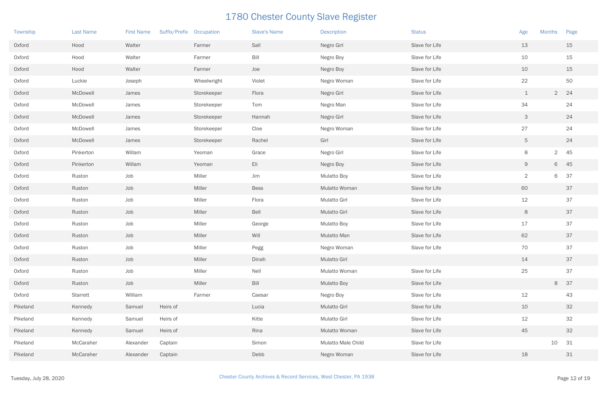| Township | <b>Last Name</b> | <b>First Name</b> | Suffix/Prefix Occupation |             | <b>Slave's Name</b> | <b>Description</b>  | <b>Status</b>  | Age            | <b>Months</b>  | Page |
|----------|------------------|-------------------|--------------------------|-------------|---------------------|---------------------|----------------|----------------|----------------|------|
| Oxford   | Hood             | Walter            |                          | Farmer      | Sall                | Negro Girl          | Slave for Life | 13             |                | 15   |
| Oxford   | Hood             | Walter            |                          | Farmer      | Bill                | Negro Boy           | Slave for Life | 10             |                | 15   |
| Oxford   | Hood             | Walter            |                          | Farmer      | Joe                 | Negro Boy           | Slave for Life | 10             |                | 15   |
| Oxford   | Luckie           | Joseph            |                          | Wheelwright | Violet              | Negro Woman         | Slave for Life | 22             |                | 50   |
| Oxford   | McDowell         | James             |                          | Storekeeper | Flora               | Negro Girl          | Slave for Life | $\perp$        | 2 24           |      |
| Oxford   | McDowell         | James             |                          | Storekeeper | Tom                 | Negro Man           | Slave for Life | 34             |                | 24   |
| Oxford   | McDowell         | James             |                          | Storekeeper | Hannah              | Negro Girl          | Slave for Life | 3              |                | 24   |
| Oxford   | McDowell         | James             |                          | Storekeeper | Cloe                | Negro Woman         | Slave for Life | 27             |                | 24   |
| Oxford   | McDowell         | James             |                          | Storekeeper | Rachel              | Girl                | Slave for Life | 5              |                | 24   |
| Oxford   | Pinkerton        | Willam            |                          | Yeoman      | Grace               | Negro Girl          | Slave for Life | 8              | $\overline{2}$ | 45   |
| Oxford   | Pinkerton        | Willam            |                          | Yeoman      | Eli                 | Negro Boy           | Slave for Life | $\overline{9}$ | 6 45           |      |
| Oxford   | Ruston           | Job               |                          | Miller      | Jim                 | <b>Mulatto Boy</b>  | Slave for Life | $\overline{2}$ | 6              | 37   |
| Oxford   | Ruston           | Job               |                          | Miller      | <b>Bess</b>         | Mulatto Woman       | Slave for Life | 60             |                | 37   |
| Oxford   | Ruston           | Job               |                          | Miller      | Flora               | Mulatto Girl        | Slave for Life | 12             |                | 37   |
| Oxford   | Ruston           | Job               |                          | Miller      | Bell                | <b>Mulatto Girl</b> | Slave for Life | 8              |                | 37   |
| Oxford   | Ruston           | Job               |                          | Miller      | George              | <b>Mulatto Boy</b>  | Slave for Life | 17             |                | 37   |
| Oxford   | Ruston           | Job               |                          | Miller      | Will                | Mulatto Man         | Slave for Life | 62             |                | 37   |
| Oxford   | Ruston           | Job               |                          | Miller      | Pegg                | Negro Woman         | Slave for Life | 70             |                | 37   |
| Oxford   | Ruston           | Job               |                          | Miller      | Dinah               | Mulatto Girl        |                | 14             |                | 37   |
| Oxford   | Ruston           | Job               |                          | Miller      | Nell                | Mulatto Woman       | Slave for Life | 25             |                | 37   |
| Oxford   | Ruston           | Job               |                          | Miller      | Bill                | <b>Mulatto Boy</b>  | Slave for Life |                | 8              | 37   |
| Oxford   | Starrett         | William           |                          | Farmer      | Caesar              | Negro Boy           | Slave for Life | 12             |                | 43   |
| Pikeland | Kennedy          | Samuel            | Heirs of                 |             | Lucia               | <b>Mulatto Girl</b> | Slave for Life | 10             |                | 32   |
| Pikeland | Kennedy          | Samuel            | Heirs of                 |             | Kitte               | Mulatto Girl        | Slave for Life | 12             |                | 32   |
| Pikeland | Kennedy          | Samuel            | Heirs of                 |             | Rina                | Mulatto Woman       | Slave for Life | 45             |                | 32   |
| Pikeland | McCaraher        | Alexander         | Captain                  |             | Simon               | Mulatto Male Child  | Slave for Life |                | 10             | 31   |
| Pikeland | McCaraher        | Alexander         | Captain                  |             | Debb                | Negro Woman         | Slave for Life | 18             |                | 31   |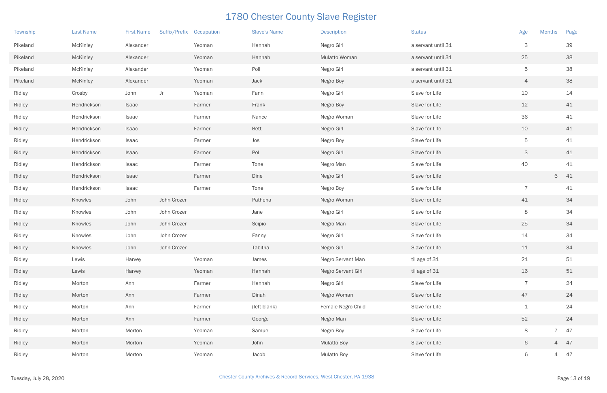| Township | <b>Last Name</b> | <b>First Name</b> | Suffix/Prefix Occupation |        | <b>Slave's Name</b> | <b>Description</b> | <b>Status</b>      | Age             | <b>Months</b>  | Page |
|----------|------------------|-------------------|--------------------------|--------|---------------------|--------------------|--------------------|-----------------|----------------|------|
| Pikeland | <b>McKinley</b>  | Alexander         |                          | Yeoman | Hannah              | Negro Girl         | a servant until 31 | 3               |                | 39   |
| Pikeland | <b>McKinley</b>  | Alexander         |                          | Yeoman | Hannah              | Mulatto Woman      | a servant until 31 | 25              |                | 38   |
| Pikeland | <b>McKinley</b>  | Alexander         |                          | Yeoman | Poll                | Negro Girl         | a servant until 31 | $5\phantom{.0}$ |                | 38   |
| Pikeland | <b>McKinley</b>  | Alexander         |                          | Yeoman | Jack                | Negro Boy          | a servant until 31 | $\overline{4}$  |                | 38   |
| Ridley   | Crosby           | John              | Jr                       | Yeoman | Fann                | Negro Girl         | Slave for Life     | 10              |                | 14   |
| Ridley   | Hendrickson      | <b>Isaac</b>      |                          | Farmer | Frank               | Negro Boy          | Slave for Life     | 12              |                | 41   |
| Ridley   | Hendrickson      | Isaac             |                          | Farmer | Nance               | Negro Woman        | Slave for Life     | 36              |                | 41   |
| Ridley   | Hendrickson      | <b>Isaac</b>      |                          | Farmer | <b>Bett</b>         | Negro Girl         | Slave for Life     | 10              |                | 41   |
| Ridley   | Hendrickson      | Isaac             |                          | Farmer | Jos                 | Negro Boy          | Slave for Life     | $5\phantom{.0}$ |                | 41   |
| Ridley   | Hendrickson      | <b>Isaac</b>      |                          | Farmer | Pol                 | Negro Girl         | Slave for Life     | $\mathcal{S}$   |                | 41   |
| Ridley   | Hendrickson      | Isaac             |                          | Farmer | Tone                | Negro Man          | Slave for Life     | 40              |                | 41   |
| Ridley   | Hendrickson      | Isaac             |                          | Farmer | Dine                | Negro Girl         | Slave for Life     |                 | 6              | 41   |
| Ridley   | Hendrickson      | Isaac             |                          | Farmer | Tone                | Negro Boy          | Slave for Life     | $\overline{7}$  |                | 41   |
| Ridley   | Knowles          | John              | John Crozer              |        | Pathena             | Negro Woman        | Slave for Life     | 41              |                | 34   |
| Ridley   | Knowles          | John              | John Crozer              |        | Jane                | Negro Girl         | Slave for Life     | 8               |                | 34   |
| Ridley   | Knowles          | John              | John Crozer              |        | Scipio              | Negro Man          | Slave for Life     | 25              |                | 34   |
| Ridley   | Knowles          | John              | John Crozer              |        | Fanny               | Negro Girl         | Slave for Life     | 14              |                | 34   |
| Ridley   | Knowles          | John              | John Crozer              |        | Tabitha             | Negro Girl         | Slave for Life     | 11              |                | 34   |
| Ridley   | Lewis            | Harvey            |                          | Yeoman | James               | Negro Servant Man  | til age of 31      | 21              |                | 51   |
| Ridley   | Lewis            | Harvey            |                          | Yeoman | Hannah              | Negro Servant Girl | til age of 31      | 16              |                | 51   |
| Ridley   | Morton           | Ann               |                          | Farmer | Hannah              | Negro Girl         | Slave for Life     | $\overline{7}$  |                | 24   |
| Ridley   | Morton           | Ann               |                          | Farmer | Dinah               | Negro Woman        | Slave for Life     | 47              |                | 24   |
| Ridley   | Morton           | Ann               |                          | Farmer | (left blank)        | Female Negro Child | Slave for Life     | $\mathbf{1}$    |                | 24   |
| Ridley   | Morton           | Ann               |                          | Farmer | George              | Negro Man          | Slave for Life     | 52              |                | 24   |
| Ridley   | Morton           | Morton            |                          | Yeoman | Samuel              | Negro Boy          | Slave for Life     | $8\phantom{1}$  | $\overline{7}$ | 47   |
| Ridley   | Morton           | Morton            |                          | Yeoman | John                | <b>Mulatto Boy</b> | Slave for Life     | 6               | 4 47           |      |
| Ridley   | Morton           | Morton            |                          | Yeoman | Jacob               | <b>Mulatto Boy</b> | Slave for Life     | 6               | 4 47           |      |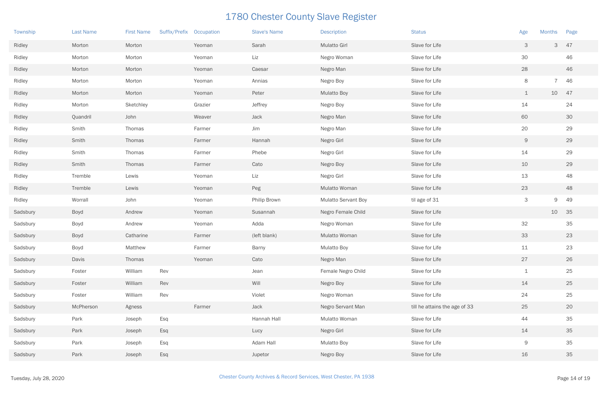| Township | <b>Last Name</b> | <b>First Name</b> | Suffix/Prefix Occupation |         | <b>Slave's Name</b> | <b>Description</b>         | <b>Status</b>                 | Age          | <b>Months</b>  | Page |
|----------|------------------|-------------------|--------------------------|---------|---------------------|----------------------------|-------------------------------|--------------|----------------|------|
| Ridley   | Morton           | Morton            |                          | Yeoman  | Sarah               | <b>Mulatto Girl</b>        | Slave for Life                | 3            | 3              | 47   |
| Ridley   | Morton           | Morton            |                          | Yeoman  | Liz                 | Negro Woman                | Slave for Life                | 30           |                | 46   |
| Ridley   | Morton           | Morton            |                          | Yeoman  | Caesar              | Negro Man                  | Slave for Life                | 28           |                | 46   |
| Ridley   | Morton           | Morton            |                          | Yeoman  | Annias              | Negro Boy                  | Slave for Life                | 8            | $\overline{7}$ | 46   |
| Ridley   | Morton           | Morton            |                          | Yeoman  | Peter               | <b>Mulatto Boy</b>         | Slave for Life                | $\perp$      | 10 47          |      |
| Ridley   | Morton           | Sketchley         |                          | Grazier | Jeffrey             | Negro Boy                  | Slave for Life                | 14           |                | 24   |
| Ridley   | Quandril         | John              |                          | Weaver  | Jack                | Negro Man                  | Slave for Life                | 60           |                | 30   |
| Ridley   | Smith            | Thomas            |                          | Farmer  | Jim                 | Negro Man                  | Slave for Life                | 20           |                | 29   |
| Ridley   | Smith            | Thomas            |                          | Farmer  | Hannah              | Negro Girl                 | Slave for Life                | $\mathsf{9}$ |                | 29   |
| Ridley   | Smith            | Thomas            |                          | Farmer  | Phebe               | Negro Girl                 | Slave for Life                | 14           |                | 29   |
| Ridley   | Smith            | Thomas            |                          | Farmer  | Cato                | Negro Boy                  | Slave for Life                | 10           |                | 29   |
| Ridley   | Tremble          | Lewis             |                          | Yeoman  | Liz                 | Negro Girl                 | Slave for Life                | 13           |                | 48   |
| Ridley   | Tremble          | Lewis             |                          | Yeoman  | Peg                 | Mulatto Woman              | Slave for Life                | 23           |                | 48   |
| Ridley   | Worrall          | John              |                          | Yeoman  | Philip Brown        | <b>Mulatto Servant Boy</b> | til age of 31                 | $\mathsf 3$  | 9              | 49   |
| Sadsbury | Boyd             | Andrew            |                          | Yeoman  | Susannah            | Negro Female Child         | Slave for Life                |              | 10             | 35   |
| Sadsbury | Boyd             | Andrew            |                          | Yeoman  | Adda                | Negro Woman                | Slave for Life                | 32           |                | 35   |
| Sadsbury | <b>Boyd</b>      | Catharine         |                          | Farmer  | (left blank)        | Mulatto Woman              | Slave for Life                | 33           |                | 23   |
| Sadsbury | Boyd             | Matthew           |                          | Farmer  | Barny               | Mulatto Boy                | Slave for Life                | 11           |                | 23   |
| Sadsbury | Davis            | Thomas            |                          | Yeoman  | Cato                | Negro Man                  | Slave for Life                | 27           |                | 26   |
| Sadsbury | Foster           | William           | Rev                      |         | Jean                | Female Negro Child         | Slave for Life                | $\mathbf 1$  |                | 25   |
| Sadsbury | Foster           | William           | Rev                      |         | Will                | Negro Boy                  | Slave for Life                | 14           |                | 25   |
| Sadsbury | Foster           | William           | Rev                      |         | Violet              | Negro Woman                | Slave for Life                | 24           |                | 25   |
| Sadsbury | McPherson        | Agness            |                          | Farmer  | Jack                | Negro Servant Man          | till he attains the age of 33 | 25           |                | 20   |
| Sadsbury | Park             | Joseph            | Esq                      |         | Hannah Hall         | Mulatto Woman              | Slave for Life                | 44           |                | 35   |
| Sadsbury | Park             | Joseph            | Esq                      |         | Lucy                | Negro Girl                 | Slave for Life                | 14           |                | 35   |
| Sadsbury | Park             | Joseph            | Esq                      |         | Adam Hall           | <b>Mulatto Boy</b>         | Slave for Life                | 9            |                | 35   |
| Sadsbury | Park             | Joseph            | Esq                      |         | Jupetor             | Negro Boy                  | Slave for Life                | 16           |                | 35   |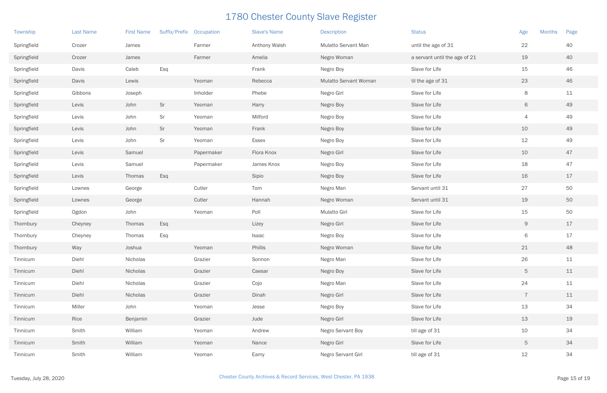| Township    | <b>Last Name</b> | <b>First Name</b> | Suffix/Prefix | Occupation | <b>Slave's Name</b> | <b>Description</b>           | <b>Status</b>                 | <b>Months</b><br>Age | Page |
|-------------|------------------|-------------------|---------------|------------|---------------------|------------------------------|-------------------------------|----------------------|------|
| Springfield | Crozer           | James             |               | Farmer     | Anthony Walsh       | Mulatto Servant Man          | until the age of 31           | 22                   | 40   |
| Springfield | Crozer           | James             |               | Farmer     | Amelia              | Negro Woman                  | a servant until the age of 21 | 19                   | 40   |
| Springfield | Davis            | Caleb             | Esq           |            | Frank               | Negro Boy                    | Slave for Life                | 15                   | 46   |
| Springfield | Davis            | Lewis             |               | Yeoman     | Rebecca             | <b>Mulatto Servant Woman</b> | til the age of 31             | 23                   | 46   |
| Springfield | Gibbons          | Joseph            |               | Inholder   | Phebe               | Negro Girl                   | Slave for Life                | 8                    | 11   |
| Springfield | Levis            | John              | Sr            | Yeoman     | Harry               | Negro Boy                    | Slave for Life                | 6                    | 49   |
| Springfield | Levis            | John              | Sr            | Yeoman     | Milford             | Negro Boy                    | Slave for Life                | 4                    | 49   |
| Springfield | Levis            | John              | Sr            | Yeoman     | Frank               | Negro Boy                    | Slave for Life                | 10                   | 49   |
| Springfield | Levis            | John              | Sr            | Yeoman     | Essex               | Negro Boy                    | Slave for Life                | 12                   | 49   |
| Springfield | Levis            | Samuel            |               | Papermaker | Flora Knox          | Negro Girl                   | Slave for Life                | 10                   | 47   |
| Springfield | Levis            | Samuel            |               | Papermaker | James Knox          | Negro Boy                    | Slave for Life                | 18                   | 47   |
| Springfield | Levis            | Thomas            | Esq           |            | Sipio               | Negro Boy                    | Slave for Life                | 16                   | 17   |
| Springfield | Lownes           | George            |               | Cutler     | Tom                 | Negro Man                    | Servant until 31              | 27                   | 50   |
| Springfield | Lownes           | George            |               | Cutler     | Hannah              | Negro Woman                  | Servant until 31              | 19                   | 50   |
| Springfield | Ogdon            | John              |               | Yeoman     | Poll                | Mulatto Girl                 | Slave for Life                | 15                   | 50   |
| Thornbury   | Cheyney          | Thomas            | Esq           |            | Lizey               | Negro Girl                   | Slave for Life                | $\Theta$             | 17   |
| Thornbury   | Cheyney          | Thomas            | Esq           |            | Isaac               | Negro Boy                    | Slave for Life                | $\,$ 6 $\,$          | 17   |
| Thornbury   | Way              | Joshua            |               | Yeoman     | Phillis             | Negro Woman                  | Slave for Life                | 21                   | 48   |
| Tinnicum    | Diehl            | Nicholas          |               | Grazier    | Sonnon              | Negro Man                    | Slave for Life                | 26                   | $11$ |
| Tinnicum    | Diehl            | Nicholas          |               | Grazier    | Caesar              | Negro Boy                    | Slave for Life                | $\overline{5}$       | 11   |
| Tinnicum    | Diehl            | Nicholas          |               | Grazier    | Cojo                | Negro Man                    | Slave for Life                | 24                   | 11   |
| Tinnicum    | Diehl            | Nicholas          |               | Grazier    | Dinah               | Negro Girl                   | Slave for Life                | $\overline{7}$       | 11   |
| Tinnicum    | Miller           | John              |               | Yeoman     | Jesse               | Negro Boy                    | Slave for Life                | 13                   | 34   |
| Tinnicum    | Rice             | Benjamin          |               | Grazier    | Jude                | Negro Girl                   | Slave for Life                | 13                   | 19   |
| Tinnicum    | Smith            | William           |               | Yeoman     | Andrew              | Negro Servant Boy            | till age of 31                | 10                   | 34   |
| Tinnicum    | Smith            | William           |               | Yeoman     | Nance               | Negro Girl                   | Slave for Life                | $\overline{5}$       | 34   |
| Tinnicum    | Smith            | William           |               | Yeoman     | Eamy                | Negro Servant Girl           | till age of 31                | $12$                 | 34   |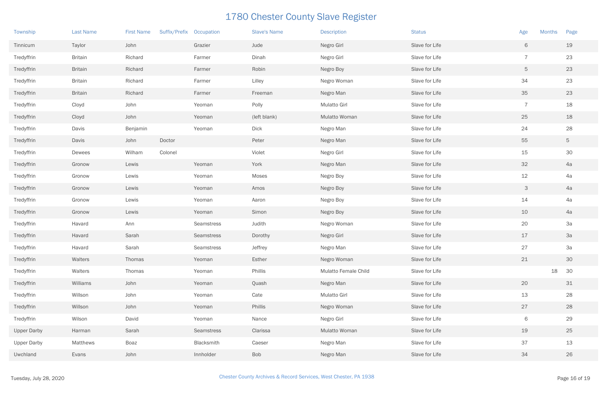| Township           | <b>Last Name</b> | <b>First Name</b> | Suffix/Prefix | Occupation | <b>Slave's Name</b> | <b>Description</b>   | <b>Status</b>  | <b>Months</b><br>Age      | Page     |
|--------------------|------------------|-------------------|---------------|------------|---------------------|----------------------|----------------|---------------------------|----------|
| Tinnicum           | Taylor           | John              |               | Grazier    | Jude                | Negro Girl           | Slave for Life | 6                         | 19       |
| Tredyffrin         | <b>Britain</b>   | Richard           |               | Farmer     | Dinah               | Negro Girl           | Slave for Life | $\overline{7}$            | 23       |
| Tredyffrin         | <b>Britain</b>   | Richard           |               | Farmer     | Robin               | Negro Boy            | Slave for Life | 5                         | 23       |
| Tredyffrin         | <b>Britain</b>   | Richard           |               | Farmer     | Lilley              | Negro Woman          | Slave for Life | 34                        | 23       |
| Tredyffrin         | <b>Britain</b>   | Richard           |               | Farmer     | Freeman             | Negro Man            | Slave for Life | 35                        | 23       |
| Tredyffrin         | Cloyd            | John              |               | Yeoman     | Polly               | Mulatto Girl         | Slave for Life | $\overline{7}$            | 18       |
| Tredyffrin         | Cloyd            | John              |               | Yeoman     | (left blank)        | Mulatto Woman        | Slave for Life | 25                        | 18       |
| Tredyffrin         | Davis            | Benjamin          |               | Yeoman     | Dick                | Negro Man            | Slave for Life | 24                        | 28       |
| Tredyffrin         | Davis            | John              | Doctor        |            | Peter               | Negro Man            | Slave for Life | 55                        | 5        |
| Tredyffrin         | Dewees           | Wilham            | Colonel       |            | Violet              | Negro Girl           | Slave for Life | 15                        | 30       |
| Tredyffrin         | Gronow           | Lewis             |               | Yeoman     | York                | Negro Man            | Slave for Life | 32                        | 4a       |
| Tredyffrin         | Gronow           | Lewis             |               | Yeoman     | Moses               | Negro Boy            | Slave for Life | 12                        | 4a       |
| Tredyffrin         | Gronow           | Lewis             |               | Yeoman     | Amos                | Negro Boy            | Slave for Life | $\ensuremath{\mathsf{3}}$ | 4a       |
| Tredyffrin         | Gronow           | Lewis             |               | Yeoman     | Aaron               | Negro Boy            | Slave for Life | 14                        | 4a       |
| Tredyffrin         | Gronow           | Lewis             |               | Yeoman     | Simon               | Negro Boy            | Slave for Life | 10                        | 4a       |
| Tredyffrin         | Havard           | Ann               |               | Seamstress | Judith              | Negro Woman          | Slave for Life | 20                        | 3a       |
| Tredyffrin         | Havard           | Sarah             |               | Seamstress | Dorothy             | Negro Girl           | Slave for Life | 17                        | 3a       |
| Tredyffrin         | Havard           | Sarah             |               | Seamstress | Jeffrey             | Negro Man            | Slave for Life | 27                        | 3a       |
| Tredyffrin         | Walters          | Thomas            |               | Yeoman     | Esther              | Negro Woman          | Slave for Life | 21                        | 30       |
| Tredyffrin         | Walters          | Thomas            |               | Yeoman     | Phillis             | Mulatto Female Child | Slave for Life |                           | 18<br>30 |
| Tredyffrin         | Williams         | John              |               | Yeoman     | Quash               | Negro Man            | Slave for Life | 20                        | 31       |
| Tredyffrin         | Willson          | John              |               | Yeoman     | Cate                | Mulatto Girl         | Slave for Life | 13                        | 28       |
| Tredyffrin         | Willson          | John              |               | Yeoman     | Phillis             | Negro Woman          | Slave for Life | 27                        | 28       |
| Tredyffrin         | Wilson           | David             |               | Yeoman     | Nance               | Negro Girl           | Slave for Life | 6                         | 29       |
| <b>Upper Darby</b> | Harman           | Sarah             |               | Seamstress | Clarissa            | Mulatto Woman        | Slave for Life | 19                        | 25       |
| <b>Upper Darby</b> | Matthews         | Boaz              |               | Blacksmith | Caeser              | Negro Man            | Slave for Life | 37                        | 13       |
| Uwchland           | Evans            | John              |               | Innholder  | Bob                 | Negro Man            | Slave for Life | 34                        | 26       |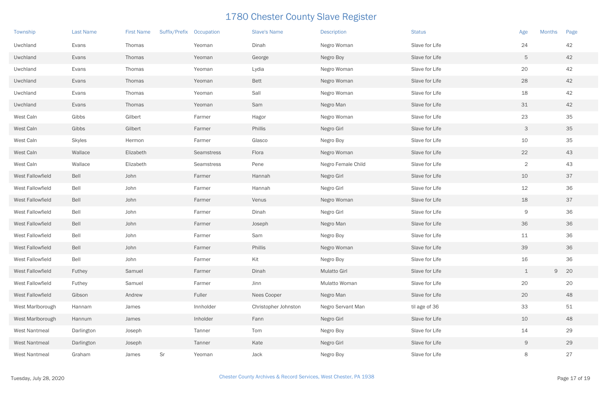| Township         | <b>Last Name</b> | <b>First Name</b> | Suffix/Prefix Occupation |            | <b>Slave's Name</b>  | <b>Description</b> | <b>Status</b>  | Age            | <b>Months</b> | Page |
|------------------|------------------|-------------------|--------------------------|------------|----------------------|--------------------|----------------|----------------|---------------|------|
| Uwchland         | Evans            | Thomas            |                          | Yeoman     | Dinah                | Negro Woman        | Slave for Life | 24             |               | 42   |
| Uwchland         | Evans            | Thomas            |                          | Yeoman     | George               | Negro Boy          | Slave for Life | 5              |               | 42   |
| Uwchland         | Evans            | Thomas            |                          | Yeoman     | Lydia                | Negro Woman        | Slave for Life | 20             |               | 42   |
| Uwchland         | Evans            | Thomas            |                          | Yeoman     | <b>Bett</b>          | Negro Woman        | Slave for Life | 28             |               | 42   |
| Uwchland         | Evans            | Thomas            |                          | Yeoman     | Sall                 | Negro Woman        | Slave for Life | 18             |               | 42   |
| Uwchland         | Evans            | Thomas            |                          | Yeoman     | Sam                  | Negro Man          | Slave for Life | 31             |               | 42   |
| West Caln        | Gibbs            | Gilbert           |                          | Farmer     | Hagor                | Negro Woman        | Slave for Life | 23             |               | 35   |
| West Caln        | Gibbs            | Gilbert           |                          | Farmer     | Phillis              | Negro Girl         | Slave for Life | $\mathcal{S}$  |               | 35   |
| West Caln        | <b>Skyles</b>    | Hermon            |                          | Farmer     | Glasco               | Negro Boy          | Slave for Life | 10             |               | 35   |
| West Caln        | Wallace          | Elizabeth         |                          | Seamstress | Flora                | Negro Woman        | Slave for Life | 22             |               | 43   |
| West Caln        | Wallace          | Elizabeth         |                          | Seamstress | Pene                 | Negro Female Child | Slave for Life | $\overline{2}$ |               | 43   |
| West Fallowfield | Bell             | John              |                          | Farmer     | Hannah               | Negro Girl         | Slave for Life | 10             |               | 37   |
| West Fallowfield | Bell             | John              |                          | Farmer     | Hannah               | Negro Girl         | Slave for Life | 12             |               | 36   |
| West Fallowfield | Bell             | John              |                          | Farmer     | Venus                | Negro Woman        | Slave for Life | 18             |               | 37   |
| West Fallowfield | Bell             | John              |                          | Farmer     | Dinah                | Negro Girl         | Slave for Life | $\mathsf 9$    |               | 36   |
| West Fallowfield | Bell             | John              |                          | Farmer     | Joseph               | Negro Man          | Slave for Life | 36             |               | 36   |
| West Fallowfield | Bell             | John              |                          | Farmer     | Sam                  | Negro Boy          | Slave for Life | 11             |               | 36   |
| West Fallowfield | Bell             | John              |                          | Farmer     | Phillis              | Negro Woman        | Slave for Life | 39             |               | 36   |
| West Fallowfield | Bell             | John              |                          | Farmer     | Kit                  | Negro Boy          | Slave for Life | 16             |               | 36   |
| West Fallowfield | Futhey           | Samuel            |                          | Farmer     | Dinah                | Mulatto Girl       | Slave for Life | $\perp$        | $9$ 20        |      |
| West Fallowfield | Futhey           | Samuel            |                          | Farmer     | Jinn                 | Mulatto Woman      | Slave for Life | 20             |               | 20   |
| West Fallowfield | Gibson           | Andrew            |                          | Fuller     | Nees Cooper          | Negro Man          | Slave for Life | 20             |               | 48   |
| West Marlborough | Hannam           | James             |                          | Innholder  | Christopher Johnston | Negro Servant Man  | til age of 36  | 33             |               | 51   |
| West Marlborough | Hannum           | James             |                          | Inholder   | Fann                 | Negro Girl         | Slave for Life | 10             |               | 48   |
| West Nantmeal    | Darlington       | Joseph            |                          | Tanner     | Tom                  | Negro Boy          | Slave for Life | 14             |               | 29   |
| West Nantmeal    | Darlington       | Joseph            |                          | Tanner     | Kate                 | Negro Girl         | Slave for Life | $\Theta$       |               | 29   |
| West Nantmeal    | Graham           | James             | Sr                       | Yeoman     | Jack                 | Negro Boy          | Slave for Life | 8              |               | 27   |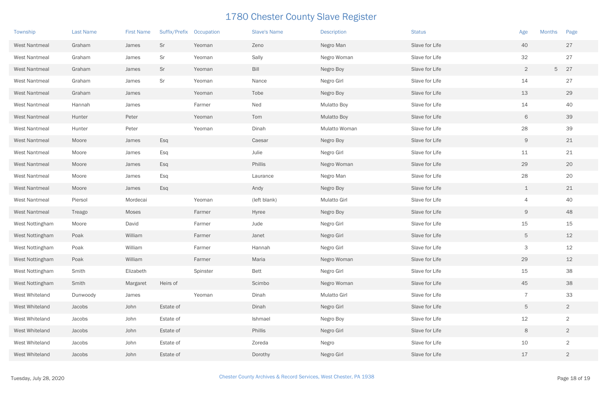| Township             | <b>Last Name</b> | <b>First Name</b> | Suffix/Prefix | Occupation | <b>Slave's Name</b> | <b>Description</b> | <b>Status</b>  | Age            | <b>Months</b> | Page           |
|----------------------|------------------|-------------------|---------------|------------|---------------------|--------------------|----------------|----------------|---------------|----------------|
| West Nantmeal        | Graham           | James             | Sr            | Yeoman     | Zeno                | Negro Man          | Slave for Life | 40             |               | 27             |
| West Nantmeal        | Graham           | James             | Sr            | Yeoman     | Sally               | Negro Woman        | Slave for Life | 32             |               | 27             |
| West Nantmeal        | Graham           | James             | Sr            | Yeoman     | Bill                | Negro Boy          | Slave for Life | $\overline{2}$ | 5             | 27             |
| West Nantmeal        | Graham           | James             | Sr            | Yeoman     | Nance               | Negro Girl         | Slave for Life | 14             |               | 27             |
| West Nantmeal        | Graham           | James             |               | Yeoman     | Tobe                | Negro Boy          | Slave for Life | 13             |               | 29             |
| <b>West Nantmeal</b> | Hannah           | James             |               | Farmer     | Ned                 | <b>Mulatto Boy</b> | Slave for Life | 14             |               | 40             |
| West Nantmeal        | Hunter           | Peter             |               | Yeoman     | Tom                 | <b>Mulatto Boy</b> | Slave for Life | 6              |               | 39             |
| West Nantmeal        | Hunter           | Peter             |               | Yeoman     | Dinah               | Mulatto Woman      | Slave for Life | 28             |               | 39             |
| West Nantmeal        | Moore            | James             | Esq           |            | Caesar              | Negro Boy          | Slave for Life | $\mathsf{9}$   |               | 21             |
| West Nantmeal        | Moore            | James             | Esq           |            | Julie               | Negro Girl         | Slave for Life | 11             |               | 21             |
| West Nantmeal        | Moore            | James             | Esq           |            | Phillis             | Negro Woman        | Slave for Life | 29             |               | 20             |
| West Nantmeal        | Moore            | James             | Esq           |            | Laurance            | Negro Man          | Slave for Life | 28             |               | 20             |
| West Nantmeal        | Moore            | James             | Esq           |            | Andy                | Negro Boy          | Slave for Life | $\perp$        |               | 21             |
| West Nantmeal        | Piersol          | Mordecai          |               | Yeoman     | (left blank)        | Mulatto Girl       | Slave for Life | 4              |               | 40             |
| West Nantmeal        | Treago           | Moses             |               | Farmer     | Hyree               | Negro Boy          | Slave for Life | $\Theta$       |               | 48             |
| West Nottingham      | Moore            | David             |               | Farmer     | Jude                | Negro Girl         | Slave for Life | 15             |               | 15             |
| West Nottingham      | Poak             | William           |               | Farmer     | Janet               | Negro Girl         | Slave for Life | $\mathbf 5$    |               | 12             |
| West Nottingham      | Poak             | William           |               | Farmer     | Hannah              | Negro Girl         | Slave for Life | 3              |               | 12             |
| West Nottingham      | Poak             | William           |               | Farmer     | Maria               | Negro Woman        | Slave for Life | 29             |               | 12             |
| West Nottingham      | Smith            | Elizabeth         |               | Spinster   | <b>Bett</b>         | Negro Girl         | Slave for Life | 15             |               | 38             |
| West Nottingham      | Smith            | Margaret          | Heirs of      |            | Scimbo              | Negro Woman        | Slave for Life | 45             |               | 38             |
| West Whiteland       | Dunwoody         | James             |               | Yeoman     | Dinah               | Mulatto Girl       | Slave for Life | $\overline{7}$ |               | 33             |
| West Whiteland       | Jacobs           | John              | Estate of     |            | Dinah               | Negro Girl         | Slave for Life | 5              |               | $2^{\circ}$    |
| West Whiteland       | Jacobs           | John              | Estate of     |            | Ishmael             | Negro Boy          | Slave for Life | 12             |               | $\overline{2}$ |
| West Whiteland       | Jacobs           | John              | Estate of     |            | Phillis             | Negro Girl         | Slave for Life | 8              |               | $\overline{2}$ |
| West Whiteland       | Jacobs           | John              | Estate of     |            | Zoreda              | Negro              | Slave for Life | 10             |               | $\overline{2}$ |
| West Whiteland       | Jacobs           | John              | Estate of     |            | Dorothy             | Negro Girl         | Slave for Life | 17             |               | $\overline{2}$ |